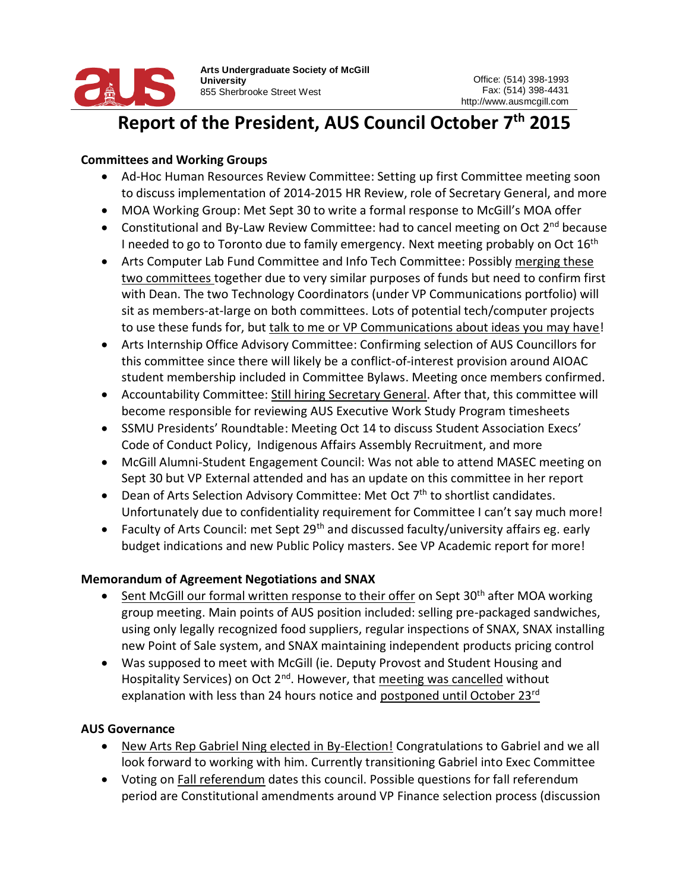

**Arts Undergraduate Society of McGill University** 855 Sherbrooke Street West

#### Report of the President, AUS Council October 7<sup>th</sup> 2015 the President,

## **Committees and Working Groups**

- Ad-Hoc Human Resources Review Committee: Setting up first Committee meeting soon to discuss implementation of 2014-2015 HR Review, role of Secretary General, and more
- MOA Working Group: Met Sept 30 to write a formal response to McGill's MOA offer
- Constitutional and By-Law Review Committee: had to cancel meeting on Oct  $2^{nd}$  because I needed to go to Toronto due to family emergency. Next meeting probably on Oct 16<sup>th</sup>
- Arts Computer Lab Fund Committee and Info Tech Committee: Possibly merging these two committees together due to very similar purposes of funds but need to confirm first with Dean. The two Technology Coordinators (under VP Communications portfolio) will sit as members-at-large on both committees. Lots of potential tech/computer projects to use these funds for, but talk to me or VP Communications about ideas you may have!
- Arts Internship Office Advisory Committee: Confirming selection of AUS Councillors for this committee since there will likely be a conflict-of-interest provision around AIOAC student membership included in Committee Bylaws. Meeting once members confirmed.
- Accountability Committee: Still hiring Secretary General. After that, this committee will become responsible for reviewing AUS Executive Work Study Program timesheets
- SSMU Presidents' Roundtable: Meeting Oct 14 to discuss Student Association Execs' Code of Conduct Policy, Indigenous Affairs Assembly Recruitment, and more
- McGill Alumni-Student Engagement Council: Was not able to attend MASEC meeting on Sept 30 but VP External attended and has an update on this committee in her report
- **•** Dean of Arts Selection Advisory Committee: Met Oct  $7<sup>th</sup>$  to shortlist candidates. Unfortunately due to confidentiality requirement for Committee I can't say much more!
- Faculty of Arts Council: met Sept 29<sup>th</sup> and discussed faculty/university affairs eg. early budget indications and new Public Policy masters. See VP Academic report for more!

# **Memorandum of Agreement Negotiations and SNAX**

- Sent McGill our formal written response to their offer on Sept 30<sup>th</sup> after MOA working group meeting. Main points of AUS position included: selling pre-packaged sandwiches, using only legally recognized food suppliers, regular inspections of SNAX, SNAX installing new Point of Sale system, and SNAX maintaining independent products pricing control
- Was supposed to meet with McGill (ie. Deputy Provost and Student Housing and Hospitality Services) on Oct  $2^{nd}$ . However, that meeting was cancelled without explanation with less than 24 hours notice and postponed until October 23rd

# **AUS Governance**

- New Arts Rep Gabriel Ning elected in By-Election! Congratulations to Gabriel and we all look forward to working with him. Currently transitioning Gabriel into Exec Committee
- Voting on Fall referendum dates this council. Possible questions for fall referendum period are Constitutional amendments around VP Finance selection process (discussion